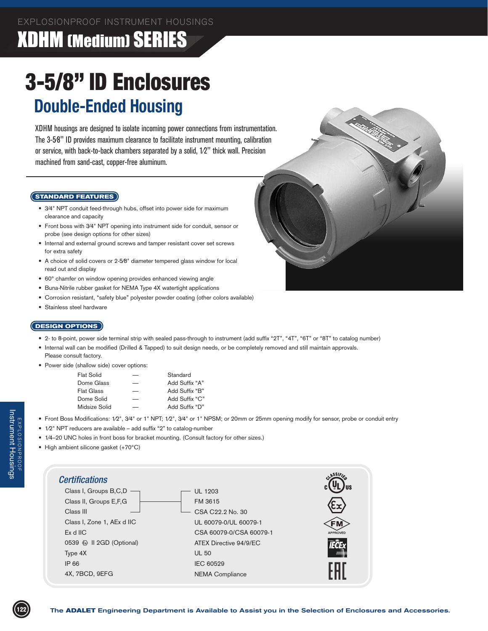### XDHM (Medium) SERIES

# 3-5/8" ID Enclosures **Double-Ended Housing**

XDHM housings are designed to isolate incoming power connections from instrumentation. The 3-5⁄8" ID provides maximum clearance to facilitate instrument mounting, calibration or service, with back-to-back chambers separated by a solid, 1⁄2" thick wall. Precision machined from sand-cast, copper-free aluminum.

#### **STANDARD FEATURES**

- 3⁄4" NPT conduit feed-through hubs, offset into power side for maximum clearance and capacity
- Front boss with 3/4" NPT opening into instrument side for conduit, sensor or probe (see design options for other sizes)
- Internal and external ground screws and tamper resistant cover set screws for extra safety
- A choice of solid covers or 2-5/8" diameter tempered glass window for local read out and display
- 60° chamfer on window opening provides enhanced viewing angle
- Buna-Nitrile rubber gasket for NEMA Type 4X watertight applications
- Corrosion resistant, "safety blue" polyester powder coating (other colors available)
- Stainless steel hardware

#### **DESIGN OPTIONS**

- 2- to 8-point, power side terminal strip with sealed pass-through to instrument (add suffix "2T", "4T", "6T" or "8T" to catalog number)
- • Internal wall can be modified (Drilled & Tapped) to suit design needs, or be completely removed and still maintain approvals. Please consult factory.
- Power side (shallow side) cover options:

| <b>Flat Solid</b> |   | Standard       |
|-------------------|---|----------------|
| Dome Glass        |   | Add Suffix "A" |
| <b>Flat Glass</b> | _ | Add Suffix "B" |
| Dome Solid        |   | Add Suffix "C" |
| Midsize Solid     | _ | Add Suffix "D" |

- Front Boss Modifications: 1/2", 3/4" or 1" NPT; 1/2", 3/4" or 1" NPSM; or 20mm or 25mm opening modify for sensor, probe or conduit entry
- 1/2" NPT reducers are available add suffix "2" to catalog-number
- 1/4–20 UNC holes in front boss for bracket mounting. (Consult factory for other sizes.)
- High ambient silicone gasket (+70°C)